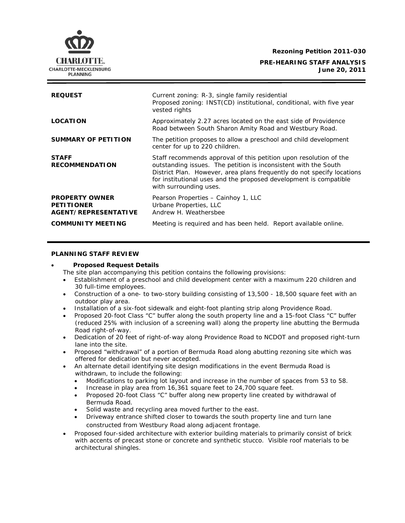**Rezoning Petition 2011-030** 

**PRE-HEARING STAFF ANALYSIS June 20, 2011**

| <b>REQUEST</b>                                                            | Current zoning: R-3, single family residential<br>Proposed zoning: INST(CD) institutional, conditional, with five year<br>vested rights                                                                                                                                                                       |
|---------------------------------------------------------------------------|---------------------------------------------------------------------------------------------------------------------------------------------------------------------------------------------------------------------------------------------------------------------------------------------------------------|
| <b>LOCATION</b>                                                           | Approximately 2.27 acres located on the east side of Providence<br>Road between South Sharon Amity Road and Westbury Road.                                                                                                                                                                                    |
| <b>SUMMARY OF PETITION</b>                                                | The petition proposes to allow a preschool and child development<br>center for up to 220 children.                                                                                                                                                                                                            |
| <b>STAFF</b><br><b>RECOMMENDATION</b>                                     | Staff recommends approval of this petition upon resolution of the<br>outstanding issues. The petition is inconsistent with the South<br>District Plan. However, area plans frequently do not specify locations<br>for institutional uses and the proposed development is compatible<br>with surrounding uses. |
| <b>PROPERTY OWNER</b><br><b>PETITIONER</b><br><b>AGENT/REPRESENTATIVE</b> | Pearson Properties - Cainhoy 1, LLC<br>Urbane Properties, LLC<br>Andrew H. Weathersbee                                                                                                                                                                                                                        |
| <b>COMMUNITY MEETING</b>                                                  | Meeting is required and has been held. Report available online.                                                                                                                                                                                                                                               |

## **PLANNING STAFF REVIEW**

# • **Proposed Request Details**

The site plan accompanying this petition contains the following provisions:

- Establishment of a preschool and child development center with a maximum 220 children and 30 full-time employees.
- Construction of a one- to two-story building consisting of 13,500 18,500 square feet with an outdoor play area.
- Installation of a six-foot sidewalk and eight-foot planting strip along Providence Road.
- Proposed 20-foot Class "C" buffer along the south property line and a 15-foot Class "C" buffer (reduced 25% with inclusion of a screening wall) along the property line abutting the Bermuda Road right-of-way.
- Dedication of 20 feet of right-of-way along Providence Road to NCDOT and proposed right-turn lane into the site.
- offered for dedication but never accepted. • Proposed "withdrawal" of a portion of Bermuda Road along abutting rezoning site which was
- An alternate detail identifying site design modifications in the event Bermuda Road is • withdrawn, to include the following:
	- Modifications to parking lot layout and increase in the number of spaces from 53 to 58.
	- Increase in play area from 16,361 square feet to 24,700 square feet.
	- Proposed 20-foot Class "C" buffer along new property line created by withdrawal of Bermuda Road.
	- Solid waste and recycling area moved further to the east.
	- Driveway entrance shifted closer to towards the south property line and turn lane constructed from Westbury Road along adjacent frontage.
- Proposed four-sided architecture with exterior building materials to primarily consist of brick with accents of precast stone or concrete and synthetic stucco. Visible roof materials to be architectural shingles.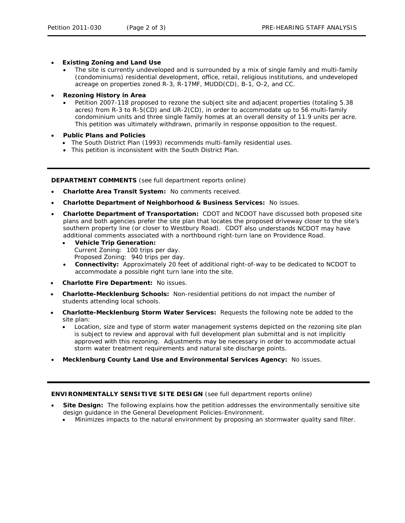- **Existing Zoning and Land Use** 
	- The site is currently undeveloped and is surrounded by a mix of single family and multi-family (condominiums) residential development, office, retail, religious institutions, and undeveloped acreage on properties zoned R-3, R-17MF, MUDD(CD), B-1, O-2, and CC.
- **Rezoning History in Area**  •
	- Petition 2007-118 proposed to rezone the subject site and adjacent properties (totaling 5.38 acres) from R-3 to R-5(CD) and UR-2(CD), in order to accommodate up to 56 multi-family condominium units and three single family homes at an overall density of 11.9 units per acre. This petition was ultimately withdrawn, primarily in response opposition to the request.
- **Public Plans and Policies** 
	- The *South District Plan* (1993) recommends multi-family residential uses.
	- This petition is inconsistent with the *South District Plan*.

**DEPARTMENT COMMENTS** (see full department reports online)

- **Charlotte Area Transit System:** No comments received.
- **Charlotte Department of Neighborhood & Business Services:** No issues.
- **Charlotte Department of Transportation:** CDOT and NCDOT have discussed both proposed site plans and both agencies prefer the site plan that locates the proposed driveway closer to the site's southern property line (or closer to Westbury Road). CDOT also understands NCDOT may have additional comments associated with a northbound right-turn lane on Providence Road. •
	- Proposed Zoning: 940 trips per day. • **Vehicle Trip Generation:** Current Zoning: 100 trips per day.
	- **Connectivity:** Approximately 20 feet of additional right-of-way to be dedicated to NCDOT to accommodate a possible right turn lane into the site.
- **Charlotte Fire Department:** No issues.
- **Charlotte-Mecklenburg Schools:** Non-residential petitions do not impact the number of stud ents attending local schools.
- **Charlotte-Mecklenburg Storm Water Services:** Requests the following note be added to the site plan:
	- Location, size and type of storm water management systems depicted on the rezoning site plan is subject to review and approval with full development plan submittal and is not implicitly approved with this rezoning. Adjustments may be necessary in order to accommodate actual storm water treatment requirements and natural site discharge points.
- **Mecklenburg County Land Use and Environmental Services Agency:** No issues.

#### **ENVIRONMENTALLY SENSITIVE SITE DESIGN** (see full department reports online)

- **Site Design:** The following explains how the petition addresses the environmentally sensitive site design guidance in the *General Development Policies-Environment*.
	- Minimizes impacts to the natural environment by proposing an stormwater quality sand filter.